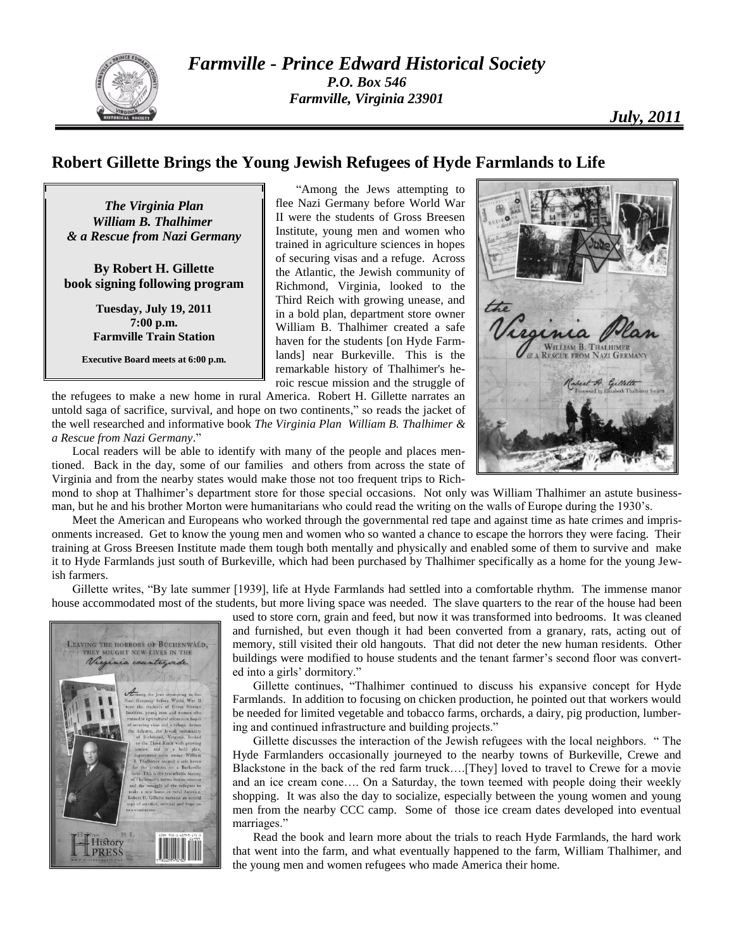

## **Robert Gillette Brings the Young Jewish Refugees of Hyde Farmlands to Life**

*The Virginia Plan William B. Thalhimer & a Rescue from Nazi Germany*

**By Robert H. Gillette book signing following program**

> **Tuesday, July 19, 2011 7:00 p.m. Farmville Train Station**

**Executive Board meets at 6:00 p.m.**

"Among the Jews attempting to flee Nazi Germany before World War II were the students of Gross Breesen Institute, young men and women who trained in agriculture sciences in hopes of securing visas and a refuge. Across the Atlantic, the Jewish community of Richmond, Virginia, looked to the Third Reich with growing unease, and in a bold plan, department store owner William B. Thalhimer created a safe haven for the students [on Hyde Farmlands] near Burkeville. This is the remarkable history of Thalhimer's heroic rescue mission and the struggle of

the refugees to make a new home in rural America. Robert H. Gillette narrates an untold saga of sacrifice, survival, and hope on two continents," so reads the jacket of the well researched and informative book *The Virginia Plan William B. Thalhimer & a Rescue from Nazi Germany*."

Local readers will be able to identify with many of the people and places mentioned. Back in the day, some of our families and others from across the state of Virginia and from the nearby states would make those not too frequent trips to Rich-



mond to shop at Thalhimer's department store for those special occasions. Not only was William Thalhimer an astute businessman, but he and his brother Morton were humanitarians who could read the writing on the walls of Europe during the 1930's.

Meet the American and Europeans who worked through the governmental red tape and against time as hate crimes and imprisonments increased. Get to know the young men and women who so wanted a chance to escape the horrors they were facing. Their training at Gross Breesen Institute made them tough both mentally and physically and enabled some of them to survive and make it to Hyde Farmlands just south of Burkeville, which had been purchased by Thalhimer specifically as a home for the young Jewish farmers.

Gillette writes, "By late summer [1939], life at Hyde Farmlands had settled into a comfortable rhythm. The immense manor house accommodated most of the students, but more living space was needed. The slave quarters to the rear of the house had been



used to store corn, grain and feed, but now it was transformed into bedrooms. It was cleaned and furnished, but even though it had been converted from a granary, rats, acting out of memory, still visited their old hangouts. That did not deter the new human residents. Other buildings were modified to house students and the tenant farmer's second floor was converted into a girls' dormitory."

Gillette continues, "Thalhimer continued to discuss his expansive concept for Hyde Farmlands. In addition to focusing on chicken production, he pointed out that workers would be needed for limited vegetable and tobacco farms, orchards, a dairy, pig production, lumbering and continued infrastructure and building projects."

Gillette discusses the interaction of the Jewish refugees with the local neighbors. " The Hyde Farmlanders occasionally journeyed to the nearby towns of Burkeville, Crewe and Blackstone in the back of the red farm truck….[They] loved to travel to Crewe for a movie and an ice cream cone…. On a Saturday, the town teemed with people doing their weekly shopping. It was also the day to socialize, especially between the young women and young men from the nearby CCC camp. Some of those ice cream dates developed into eventual marriages."

Read the book and learn more about the trials to reach Hyde Farmlands, the hard work that went into the farm, and what eventually happened to the farm, William Thalhimer, and the young men and women refugees who made America their home.